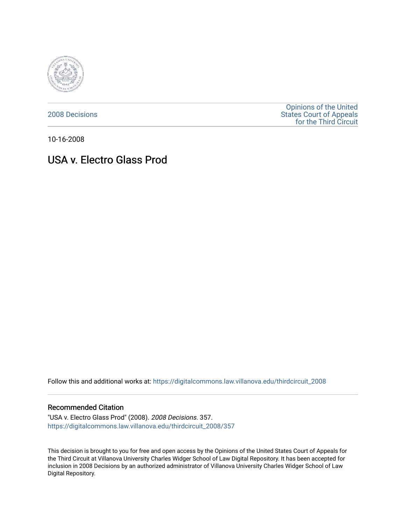

[2008 Decisions](https://digitalcommons.law.villanova.edu/thirdcircuit_2008)

[Opinions of the United](https://digitalcommons.law.villanova.edu/thirdcircuit)  [States Court of Appeals](https://digitalcommons.law.villanova.edu/thirdcircuit)  [for the Third Circuit](https://digitalcommons.law.villanova.edu/thirdcircuit) 

10-16-2008

# USA v. Electro Glass Prod

Follow this and additional works at: [https://digitalcommons.law.villanova.edu/thirdcircuit\\_2008](https://digitalcommons.law.villanova.edu/thirdcircuit_2008?utm_source=digitalcommons.law.villanova.edu%2Fthirdcircuit_2008%2F357&utm_medium=PDF&utm_campaign=PDFCoverPages) 

#### Recommended Citation

"USA v. Electro Glass Prod" (2008). 2008 Decisions. 357. [https://digitalcommons.law.villanova.edu/thirdcircuit\\_2008/357](https://digitalcommons.law.villanova.edu/thirdcircuit_2008/357?utm_source=digitalcommons.law.villanova.edu%2Fthirdcircuit_2008%2F357&utm_medium=PDF&utm_campaign=PDFCoverPages)

This decision is brought to you for free and open access by the Opinions of the United States Court of Appeals for the Third Circuit at Villanova University Charles Widger School of Law Digital Repository. It has been accepted for inclusion in 2008 Decisions by an authorized administrator of Villanova University Charles Widger School of Law Digital Repository.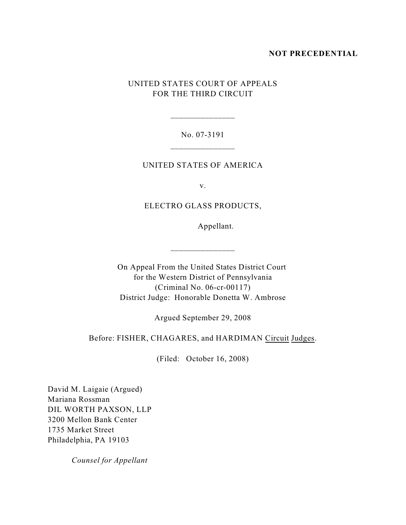## **NOT PRECEDENTIAL**

# UNITED STATES COURT OF APPEALS FOR THE THIRD CIRCUIT

# No. 07-3191 \_\_\_\_\_\_\_\_\_\_\_\_\_\_\_

\_\_\_\_\_\_\_\_\_\_\_\_\_\_\_

# UNITED STATES OF AMERICA

v.

# ELECTRO GLASS PRODUCTS,

Appellant.

On Appeal From the United States District Court for the Western District of Pennsylvania (Criminal No. 06-cr-00117) District Judge: Honorable Donetta W. Ambrose

\_\_\_\_\_\_\_\_\_\_\_\_\_\_\_

Argued September 29, 2008

## Before: FISHER, CHAGARES, and HARDIMAN Circuit Judges.

(Filed: October 16, 2008)

David M. Laigaie (Argued) Mariana Rossman DIL WORTH PAXSON, LLP 3200 Mellon Bank Center 1735 Market Street Philadelphia, PA 19103

*Counsel for Appellant*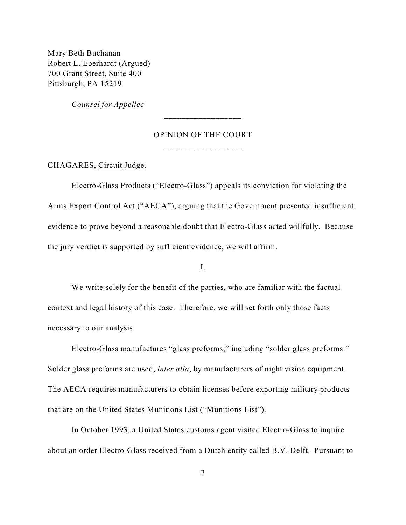Mary Beth Buchanan Robert L. Eberhardt (Argued) 700 Grant Street, Suite 400 Pittsburgh, PA 15219

*Counsel for Appellee*

#### OPINION OF THE COURT

\_\_\_\_\_\_\_\_\_\_\_\_\_\_\_\_\_\_

CHAGARES, Circuit Judge.

Electro-Glass Products ("Electro-Glass") appeals its conviction for violating the Arms Export Control Act ("AECA"), arguing that the Government presented insufficient evidence to prove beyond a reasonable doubt that Electro-Glass acted willfully. Because the jury verdict is supported by sufficient evidence, we will affirm.

I.

We write solely for the benefit of the parties, who are familiar with the factual context and legal history of this case. Therefore, we will set forth only those facts necessary to our analysis.

Electro-Glass manufactures "glass preforms," including "solder glass preforms." Solder glass preforms are used, *inter alia*, by manufacturers of night vision equipment. The AECA requires manufacturers to obtain licenses before exporting military products that are on the United States Munitions List ("Munitions List").

In October 1993, a United States customs agent visited Electro-Glass to inquire about an order Electro-Glass received from a Dutch entity called B.V. Delft. Pursuant to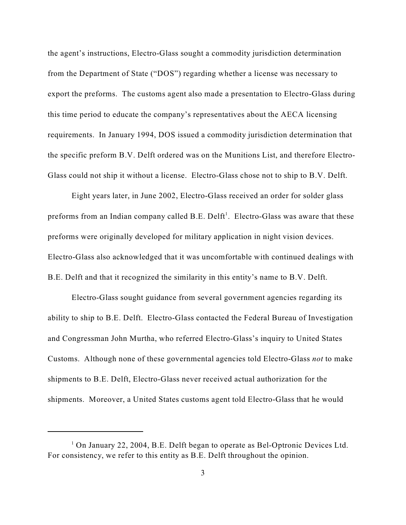the agent's instructions, Electro-Glass sought a commodity jurisdiction determination from the Department of State ("DOS") regarding whether a license was necessary to export the preforms. The customs agent also made a presentation to Electro-Glass during this time period to educate the company's representatives about the AECA licensing requirements. In January 1994, DOS issued a commodity jurisdiction determination that the specific preform B.V. Delft ordered was on the Munitions List, and therefore Electro-Glass could not ship it without a license. Electro-Glass chose not to ship to B.V. Delft.

Eight years later, in June 2002, Electro-Glass received an order for solder glass preforms from an Indian company called  $B.E.$  Delft<sup>1</sup>. Electro-Glass was aware that these preforms were originally developed for military application in night vision devices. Electro-Glass also acknowledged that it was uncomfortable with continued dealings with B.E. Delft and that it recognized the similarity in this entity's name to B.V. Delft.

Electro-Glass sought guidance from several government agencies regarding its ability to ship to B.E. Delft. Electro-Glass contacted the Federal Bureau of Investigation and Congressman John Murtha, who referred Electro-Glass's inquiry to United States Customs. Although none of these governmental agencies told Electro-Glass *not* to make shipments to B.E. Delft, Electro-Glass never received actual authorization for the shipments. Moreover, a United States customs agent told Electro-Glass that he would

<sup>&</sup>lt;sup>1</sup> On January 22, 2004, B.E. Delft began to operate as Bel-Optronic Devices Ltd. For consistency, we refer to this entity as B.E. Delft throughout the opinion.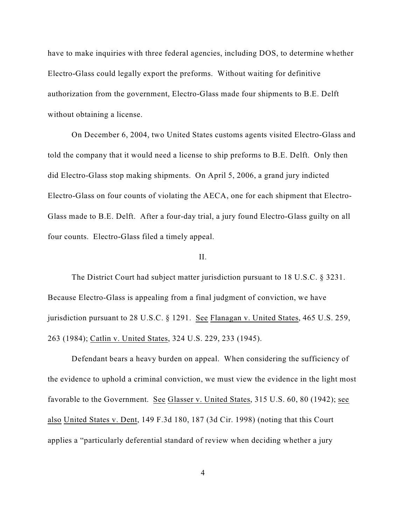have to make inquiries with three federal agencies, including DOS, to determine whether Electro-Glass could legally export the preforms. Without waiting for definitive authorization from the government, Electro-Glass made four shipments to B.E. Delft without obtaining a license.

On December 6, 2004, two United States customs agents visited Electro-Glass and told the company that it would need a license to ship preforms to B.E. Delft. Only then did Electro-Glass stop making shipments. On April 5, 2006, a grand jury indicted Electro-Glass on four counts of violating the AECA, one for each shipment that Electro-Glass made to B.E. Delft. After a four-day trial, a jury found Electro-Glass guilty on all four counts. Electro-Glass filed a timely appeal.

# II.

The District Court had subject matter jurisdiction pursuant to 18 U.S.C. § 3231. Because Electro-Glass is appealing from a final judgment of conviction, we have jurisdiction pursuant to 28 U.S.C. § 1291. See Flanagan v. United States, 465 U.S. 259, 263 (1984); Catlin v. United States, 324 U.S. 229, 233 (1945).

Defendant bears a heavy burden on appeal. When considering the sufficiency of the evidence to uphold a criminal conviction, we must view the evidence in the light most favorable to the Government. See Glasser v. United States, 315 U.S. 60, 80 (1942); see also United States v. Dent, 149 F.3d 180, 187 (3d Cir. 1998) (noting that this Court applies a "particularly deferential standard of review when deciding whether a jury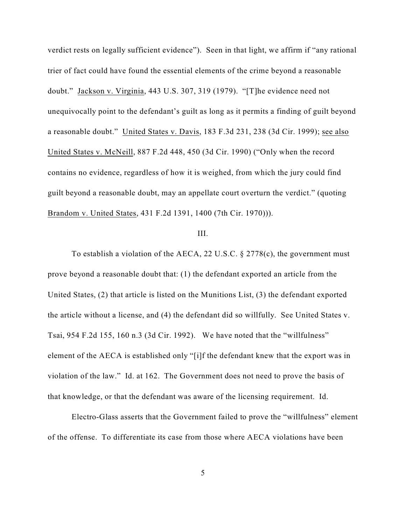verdict rests on legally sufficient evidence"). Seen in that light, we affirm if "any rational trier of fact could have found the essential elements of the crime beyond a reasonable doubt." Jackson v. Virginia, 443 U.S. 307, 319 (1979). "[T]he evidence need not unequivocally point to the defendant's guilt as long as it permits a finding of guilt beyond a reasonable doubt." United States v. Davis, 183 F.3d 231, 238 (3d Cir. 1999); see also United States v. McNeill, 887 F.2d 448, 450 (3d Cir. 1990) ("Only when the record contains no evidence, regardless of how it is weighed, from which the jury could find guilt beyond a reasonable doubt, may an appellate court overturn the verdict." (quoting Brandom v. United States, 431 F.2d 1391, 1400 (7th Cir. 1970))).

## III.

To establish a violation of the AECA, 22 U.S.C. § 2778(c), the government must prove beyond a reasonable doubt that: (1) the defendant exported an article from the United States, (2) that article is listed on the Munitions List, (3) the defendant exported the article without a license, and (4) the defendant did so willfully. See United States v. Tsai, 954 F.2d 155, 160 n.3 (3d Cir. 1992). We have noted that the "willfulness" element of the AECA is established only "[i]f the defendant knew that the export was in violation of the law." Id. at 162. The Government does not need to prove the basis of that knowledge, or that the defendant was aware of the licensing requirement. Id.

Electro-Glass asserts that the Government failed to prove the "willfulness" element of the offense. To differentiate its case from those where AECA violations have been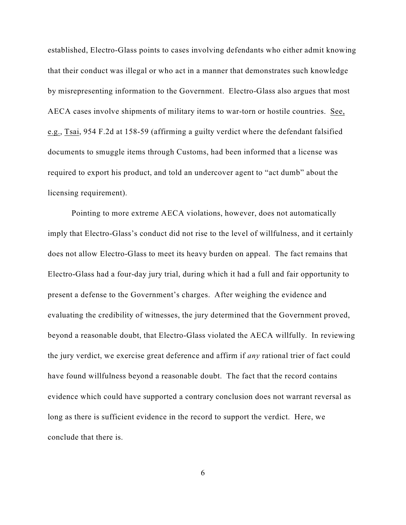established, Electro-Glass points to cases involving defendants who either admit knowing that their conduct was illegal or who act in a manner that demonstrates such knowledge by misrepresenting information to the Government. Electro-Glass also argues that most AECA cases involve shipments of military items to war-torn or hostile countries. See, e.g., Tsai, 954 F.2d at 158-59 (affirming a guilty verdict where the defendant falsified documents to smuggle items through Customs, had been informed that a license was required to export his product, and told an undercover agent to "act dumb" about the licensing requirement).

Pointing to more extreme AECA violations, however, does not automatically imply that Electro-Glass's conduct did not rise to the level of willfulness, and it certainly does not allow Electro-Glass to meet its heavy burden on appeal. The fact remains that Electro-Glass had a four-day jury trial, during which it had a full and fair opportunity to present a defense to the Government's charges. After weighing the evidence and evaluating the credibility of witnesses, the jury determined that the Government proved, beyond a reasonable doubt, that Electro-Glass violated the AECA willfully. In reviewing the jury verdict, we exercise great deference and affirm if *any* rational trier of fact could have found willfulness beyond a reasonable doubt. The fact that the record contains evidence which could have supported a contrary conclusion does not warrant reversal as long as there is sufficient evidence in the record to support the verdict. Here, we conclude that there is.

6